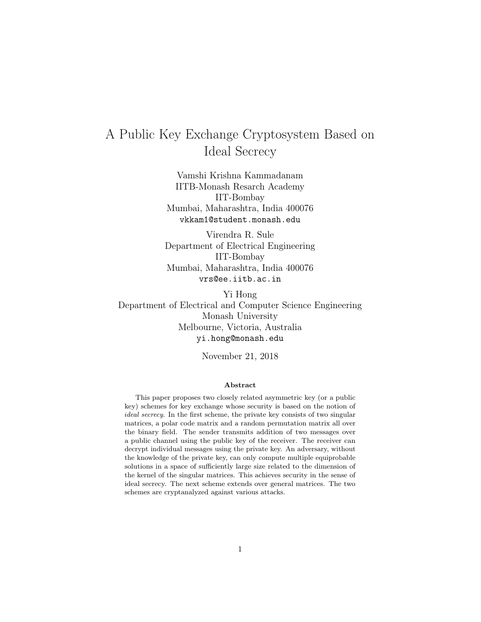# A Public Key Exchange Cryptosystem Based on Ideal Secrecy

Vamshi Krishna Kammadanam IITB-Monash Resarch Academy IIT-Bombay Mumbai, Maharashtra, India 400076 vkkam1@student.monash.edu

Virendra R. Sule Department of Electrical Engineering IIT-Bombay Mumbai, Maharashtra, India 400076 vrs@ee.iitb.ac.in

Yi Hong Department of Electrical and Computer Science Engineering Monash University Melbourne, Victoria, Australia yi.hong@monash.edu

November 21, 2018

#### Abstract

This paper proposes two closely related asymmetric key (or a public key) schemes for key exchange whose security is based on the notion of ideal secrecy. In the first scheme, the private key consists of two singular matrices, a polar code matrix and a random permutation matrix all over the binary field. The sender transmits addition of two messages over a public channel using the public key of the receiver. The receiver can decrypt individual messages using the private key. An adversary, without the knowledge of the private key, can only compute multiple equiprobable solutions in a space of sufficiently large size related to the dimension of the kernel of the singular matrices. This achieves security in the sense of ideal secrecy. The next scheme extends over general matrices. The two schemes are cryptanalyzed against various attacks.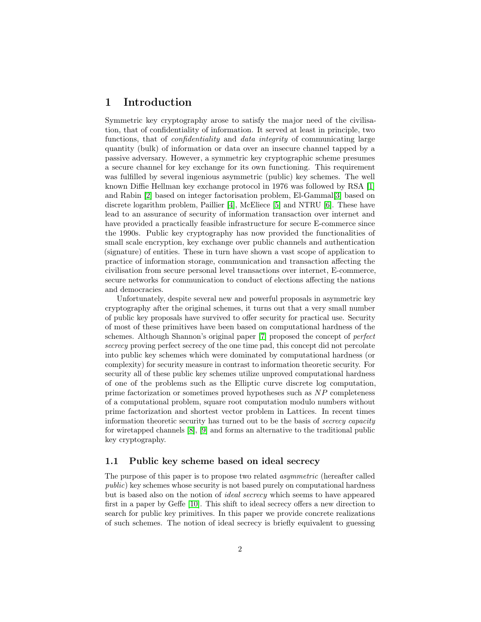# 1 Introduction

Symmetric key cryptography arose to satisfy the major need of the civilisation, that of confidentiality of information. It served at least in principle, two functions, that of *confidentiality* and *data integrity* of communicating large quantity (bulk) of information or data over an insecure channel tapped by a passive adversary. However, a symmetric key cryptographic scheme presumes a secure channel for key exchange for its own functioning. This requirement was fulfilled by several ingenious asymmetric (public) key schemes. The well known Diffie Hellman key exchange protocol in 1976 was followed by RSA [\[1\]](#page-19-0) and Rabin [\[2\]](#page-19-1) based on integer factorisation problem, El-Gammal[\[3\]](#page-20-0) based on discrete logarithm problem, Paillier [\[4\]](#page-20-1), McEliece [\[5\]](#page-20-2) and NTRU [\[6\]](#page-20-3). These have lead to an assurance of security of information transaction over internet and have provided a practically feasible infrastructure for secure E-commerce since the 1990s. Public key cryptography has now provided the functionalities of small scale encryption, key exchange over public channels and authentication (signature) of entities. These in turn have shown a vast scope of application to practice of information storage, communication and transaction affecting the civilisation from secure personal level transactions over internet, E-commerce, secure networks for communication to conduct of elections affecting the nations and democracies.

Unfortunately, despite several new and powerful proposals in asymmetric key cryptography after the original schemes, it turns out that a very small number of public key proposals have survived to offer security for practical use. Security of most of these primitives have been based on computational hardness of the schemes. Although Shannon's original paper [\[7\]](#page-20-4) proposed the concept of perfect secrecy proving perfect secrecy of the one time pad, this concept did not percolate into public key schemes which were dominated by computational hardness (or complexity) for security measure in contrast to information theoretic security. For security all of these public key schemes utilize unproved computational hardness of one of the problems such as the Elliptic curve discrete log computation, prime factorization or sometimes proved hypotheses such as NP completeness of a computational problem, square root computation modulo numbers without prime factorization and shortest vector problem in Lattices. In recent times information theoretic security has turned out to be the basis of secrecy capacity for wiretapped channels [\[8\]](#page-20-5), [\[9\]](#page-20-6) and forms an alternative to the traditional public key cryptography.

# 1.1 Public key scheme based on ideal secrecy

The purpose of this paper is to propose two related asymmetric (hereafter called public) key schemes whose security is not based purely on computational hardness but is based also on the notion of ideal secrecy which seems to have appeared first in a paper by Geffe [\[10\]](#page-20-7). This shift to ideal secrecy offers a new direction to search for public key primitives. In this paper we provide concrete realizations of such schemes. The notion of ideal secrecy is briefly equivalent to guessing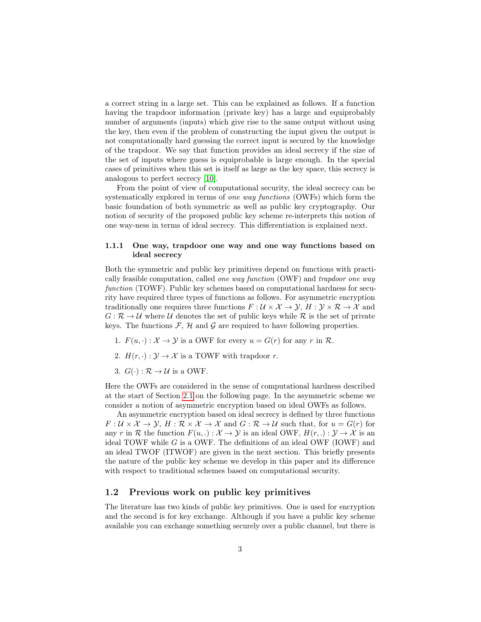a correct string in a large set. This can be explained as follows. If a function having the trapdoor information (private key) has a large and equiprobably number of arguments (inputs) which give rise to the same output without using the key, then even if the problem of constructing the input given the output is not computationally hard guessing the correct input is secured by the knowledge of the trapdoor. We say that function provides an ideal secrecy if the size of the set of inputs where guess is equiprobable is large enough. In the special cases of primitives when this set is itself as large as the key space, this secrecy is analogous to perfect secrecy [\[10\]](#page-20-7).

From the point of view of computational security, the ideal secrecy can be systematically explored in terms of one way functions (OWFs) which form the basic foundation of both symmetric as well as public key cryptography. Our notion of security of the proposed public key scheme re-interprets this notion of one way-ness in terms of ideal secrecy. This differentiation is explained next.

# 1.1.1 One way, trapdoor one way and one way functions based on ideal secrecy

Both the symmetric and public key primitives depend on functions with practically feasible computation, called one way function (OWF) and trapdoor one way function (TOWF). Public key schemes based on computational hardness for security have required three types of functions as follows. For asymmetric encryption traditionally one requires three functions  $F: \mathcal{U} \times \mathcal{X} \to \mathcal{Y}, H: \mathcal{Y} \times \mathcal{R} \to \mathcal{X}$  and  $G: \mathcal{R} \to \mathcal{U}$  where  $\mathcal{U}$  denotes the set of public keys while  $\mathcal{R}$  is the set of private keys. The functions  $\mathcal{F}, \mathcal{H}$  and  $\mathcal{G}$  are required to have following properties.

- 1.  $F(u, \cdot): \mathcal{X} \to \mathcal{Y}$  is a OWF for every  $u = G(r)$  for any r in R.
- 2.  $H(r, \cdot): \mathcal{Y} \to \mathcal{X}$  is a TOWF with trapdoor r.
- 3.  $G(\cdot): \mathcal{R} \to \mathcal{U}$  is a OWF.

Here the OWFs are considered in the sense of computational hardness described at the start of Section [2.1](#page-3-0) on the following page. In the asymmetric scheme we consider a notion of asymmetric encryption based on ideal OWFs as follows.

An asymmetric encryption based on ideal secrecy is defined by three functions  $F: \mathcal{U} \times \mathcal{X} \to \mathcal{Y}, H: \mathcal{R} \times \mathcal{X} \to \mathcal{X}$  and  $G: \mathcal{R} \to \mathcal{U}$  such that, for  $u = G(r)$  for any r in R the function  $F(u, .): \mathcal{X} \to \mathcal{Y}$  is an ideal OWF,  $H(r, .): \mathcal{Y} \to \mathcal{X}$  is an ideal TOWF while  $G$  is a OWF. The definitions of an ideal OWF (IOWF) and an ideal TWOF (ITWOF) are given in the next section. This briefly presents the nature of the public key scheme we develop in this paper and its difference with respect to traditional schemes based on computational security.

# 1.2 Previous work on public key primitives

The literature has two kinds of public key primitives. One is used for encryption and the second is for key exchange. Although if you have a public key scheme available you can exchange something securely over a public channel, but there is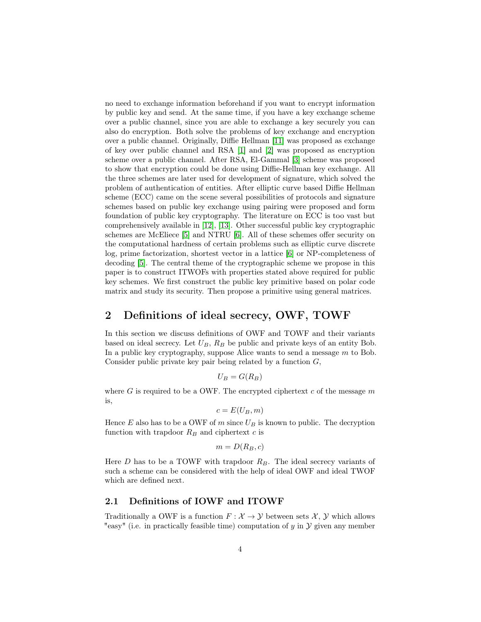no need to exchange information beforehand if you want to encrypt information by public key and send. At the same time, if you have a key exchange scheme over a public channel, since you are able to exchange a key securely you can also do encryption. Both solve the problems of key exchange and encryption over a public channel. Originally, Diffie Hellman [\[11\]](#page-20-8) was proposed as exchange of key over public channel and RSA [\[1\]](#page-19-0) and [\[2\]](#page-19-1) was proposed as encryption scheme over a public channel. After RSA, El-Gammal [\[3\]](#page-20-0) scheme was proposed to show that encryption could be done using Diffie-Hellman key exchange. All the three schemes are later used for development of signature, which solved the problem of authentication of entities. After elliptic curve based Diffie Hellman scheme (ECC) came on the scene several possibilities of protocols and signature schemes based on public key exchange using pairing were proposed and form foundation of public key cryptography. The literature on ECC is too vast but comprehensively available in [\[12\]](#page-20-9), [\[13\]](#page-20-10). Other successful public key cryptographic schemes are McEliece [\[5\]](#page-20-2) and NTRU [\[6\]](#page-20-3). All of these schemes offer security on the computational hardness of certain problems such as elliptic curve discrete log, prime factorization, shortest vector in a lattice [\[6\]](#page-20-3) or NP-completeness of decoding [\[5\]](#page-20-2). The central theme of the cryptographic scheme we propose in this paper is to construct ITWOFs with properties stated above required for public key schemes. We first construct the public key primitive based on polar code matrix and study its security. Then propose a primitive using general matrices.

# 2 Definitions of ideal secrecy, OWF, TOWF

In this section we discuss definitions of OWF and TOWF and their variants based on ideal secrecy. Let  $U_B$ ,  $R_B$  be public and private keys of an entity Bob. In a public key cryptography, suppose Alice wants to send a message  $m$  to Bob. Consider public private key pair being related by a function  $G$ ,

$$
U_B = G(R_B)
$$

where G is required to be a OWF. The encrypted ciphertext c of the message  $m$ is,

$$
c = E(U_B, m)
$$

Hence  $E$  also has to be a OWF of m since  $U_B$  is known to public. The decryption function with trapdoor  $R_B$  and ciphertext c is

$$
m=D(R_B,c)
$$

Here  $D$  has to be a TOWF with trapdoor  $R_B$ . The ideal secrecy variants of such a scheme can be considered with the help of ideal OWF and ideal TWOF which are defined next.

# <span id="page-3-0"></span>2.1 Definitions of IOWF and ITOWF

Traditionally a OWF is a function  $F: \mathcal{X} \to \mathcal{Y}$  between sets  $\mathcal{X}, \mathcal{Y}$  which allows "easy" (i.e. in practically feasible time) computation of  $y$  in  $\mathcal Y$  given any member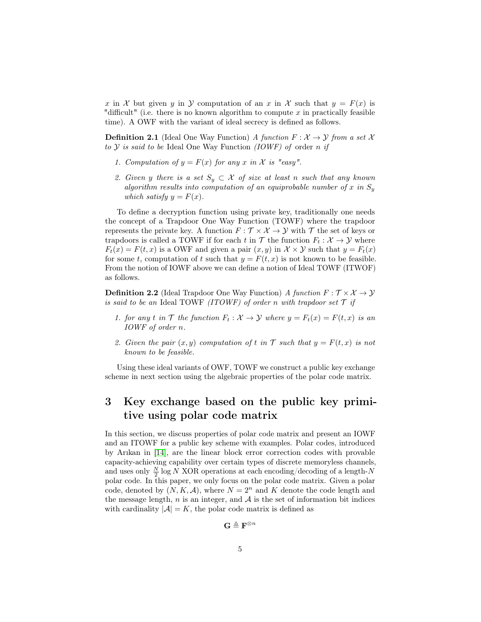x in X but given y in Y computation of an x in X such that  $y = F(x)$  is "difficult" (i.e. there is no known algorithm to compute  $x$  in practically feasible time). A OWF with the variant of ideal secrecy is defined as follows.

**Definition 2.1** (Ideal One Way Function) A function  $F: \mathcal{X} \to \mathcal{Y}$  from a set X to  $Y$  is said to be Ideal One Way Function (IOWF) of order n if

- 1. Computation of  $y = F(x)$  for any x in X is "easy".
- 2. Given y there is a set  $S_y \subset \mathcal{X}$  of size at least n such that any known algorithm results into computation of an equiprobable number of x in  $S_y$ which satisfy  $y = F(x)$ .

To define a decryption function using private key, traditionally one needs the concept of a Trapdoor One Way Function (TOWF) where the trapdoor represents the private key. A function  $F : \mathcal{T} \times \mathcal{X} \to \mathcal{Y}$  with  $\mathcal{T}$  the set of keys or trapdoors is called a TOWF if for each t in  $\mathcal T$  the function  $F_t : \mathcal X \to \mathcal Y$  where  $F_t(x) = F(t, x)$  is a OWF and given a pair  $(x, y)$  in  $\mathcal{X} \times \mathcal{Y}$  such that  $y = F_t(x)$ for some t, computation of t such that  $y = F(t, x)$  is not known to be feasible. From the notion of IOWF above we can define a notion of Ideal TOWF (ITWOF) as follows.

**Definition 2.2** (Ideal Trapdoor One Way Function) A function  $F : \mathcal{T} \times \mathcal{X} \rightarrow \mathcal{Y}$ is said to be an Ideal TOWF (ITOWF) of order n with trapdoor set  $\mathcal T$  if

- 1. for any t in  $\mathcal T$  the function  $F_t : \mathcal X \to \mathcal Y$  where  $y = F_t(x) = F(t, x)$  is an IOWF of order n.
- 2. Given the pair  $(x, y)$  computation of t in T such that  $y = F(t, x)$  is not known to be feasible.

Using these ideal variants of OWF, TOWF we construct a public key exchange scheme in next section using the algebraic properties of the polar code matrix.

# <span id="page-4-0"></span>3 Key exchange based on the public key primitive using polar code matrix

In this section, we discuss properties of polar code matrix and present an IOWF and an ITOWF for a public key scheme with examples. Polar codes, introduced by Arıkan in [\[14\]](#page-20-11), are the linear block error correction codes with provable capacity-achieving capability over certain types of discrete memoryless channels, and uses only  $\frac{N}{2}$  log N XOR operations at each encoding/decoding of a length-N polar code. In this paper, we only focus on the polar code matrix. Given a polar code, denoted by  $(N, K, A)$ , where  $N = 2<sup>n</sup>$  and K denote the code length and the message length, n is an integer, and  $A$  is the set of information bit indices with cardinality  $|\mathcal{A}| = K$ , the polar code matrix is defined as

$$
\mathbf{G} \triangleq \mathbf{F}^{\otimes n}
$$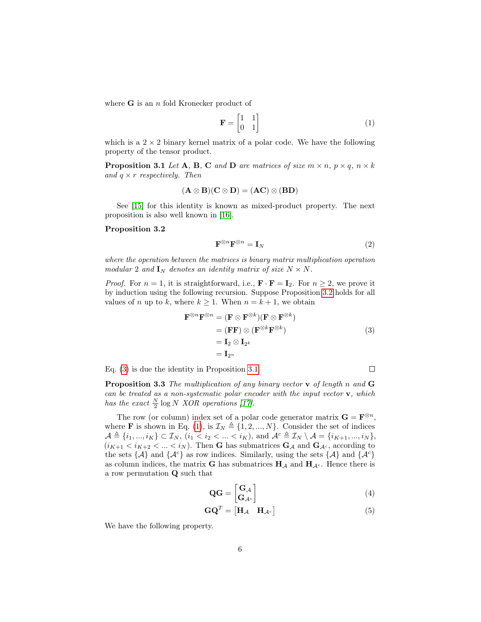where  $G$  is an n fold Kronecker product of

<span id="page-5-3"></span>
$$
\mathbf{F} = \begin{bmatrix} 1 & 1 \\ 0 & 1 \end{bmatrix} \tag{1}
$$

which is a  $2 \times 2$  binary kernel matrix of a polar code. We have the following property of the tensor product.

<span id="page-5-2"></span>**Proposition 3.1** Let **A**, **B**, **C** and **D** are matrices of size  $m \times n$ ,  $p \times q$ ,  $n \times k$ and  $q \times r$  respectively. Then

$$
(\mathbf{A}\otimes\mathbf{B})(\mathbf{C}\otimes\mathbf{D})=(\mathbf{AC})\otimes(\mathbf{BD})
$$

See [\[15\]](#page-20-12) for this identity is known as mixed-product property. The next proposition is also well known in [\[16\]](#page-20-13).

#### <span id="page-5-0"></span>Proposition 3.2

$$
\mathbf{F}^{\otimes n}\mathbf{F}^{\otimes n} = \mathbf{I}_N \tag{2}
$$

where the operation between the matrices is binary matrix multiplication operation modular 2 and  $I_N$  denotes an identity matrix of size  $N \times N$ .

*Proof.* For  $n = 1$ , it is straightforward, i.e.,  $\mathbf{F} \cdot \mathbf{F} = \mathbf{I}_2$ . For  $n \geq 2$ , we prove it by induction using the following recursion. Suppose Proposition [3.2](#page-5-0) holds for all values of n up to k, where  $k \geq 1$ . When  $n = k + 1$ , we obtain

$$
\mathbf{F}^{\otimes n} \mathbf{F}^{\otimes n} = (\mathbf{F} \otimes \mathbf{F}^{\otimes k})(\mathbf{F} \otimes \mathbf{F}^{\otimes k})
$$
  
=  $(\mathbf{F} \mathbf{F}) \otimes (\mathbf{F}^{\otimes k} \mathbf{F}^{\otimes k})$   
=  $\mathbf{I}_2 \otimes \mathbf{I}_{2^k}$   
=  $\mathbf{I}_{2^n}$  (3)

Eq. [\(3\)](#page-5-1) is due the identity in Proposition [3.1.](#page-5-2)

<span id="page-5-1"></span> $\Box$ 

**Proposition 3.3** The multiplication of any binary vector  $\bf{v}$  of length n and  $\bf{G}$ can be treated as a non-systematic polar encoder with the input vector  $\mathbf{v}$ , which has the exact  $\frac{N}{2} \log N$  XOR operations [\[17\]](#page-20-14).

The row (or column) index set of a polar code generator matrix  $\mathbf{G} = \mathbf{F}^{\otimes n}$ , where **F** is shown in Eq. [\(1\)](#page-5-3), is  $\mathcal{I}_N \triangleq \{1, 2, ..., N\}$ . Consider the set of indices  $\mathcal{A} \triangleq \{i_1, ..., i_K\} \subset \mathcal{I}_N, (i_1 < i_2 < ... < i_K)$ , and  $\mathcal{A}^c \triangleq \mathcal{I}_N \setminus \mathcal{A} = \{i_{K+1}, ..., i_N\},$  $(i_{K+1} < i_{K+2} < ... < i_N)$ . Then **G** has submatrices  $\mathbf{G}_{\mathcal{A}}$  and  $\mathbf{G}_{\mathcal{A}^c}$ , according to the sets  $\{\mathcal{A}\}\$  and  $\{\mathcal{A}^c\}\$  as row indices. Similarly, using the sets  $\{\mathcal{A}\}\$  and  $\{\mathcal{A}^c\}\$ as column indices, the matrix **G** has submatrices  $H_A$  and  $H_{A<sup>c</sup>}$ . Hence there is a row permutation Q such that

$$
\mathbf{Q}\mathbf{G} = \begin{bmatrix} \mathbf{G}_{\mathcal{A}} \\ \mathbf{G}_{\mathcal{A}^c} \end{bmatrix} \tag{4}
$$

$$
\mathbf{G}\mathbf{Q}^T = \begin{bmatrix} \mathbf{H}_{\mathcal{A}} & \mathbf{H}_{\mathcal{A}^c} \end{bmatrix} \tag{5}
$$

<span id="page-5-4"></span>We have the following property.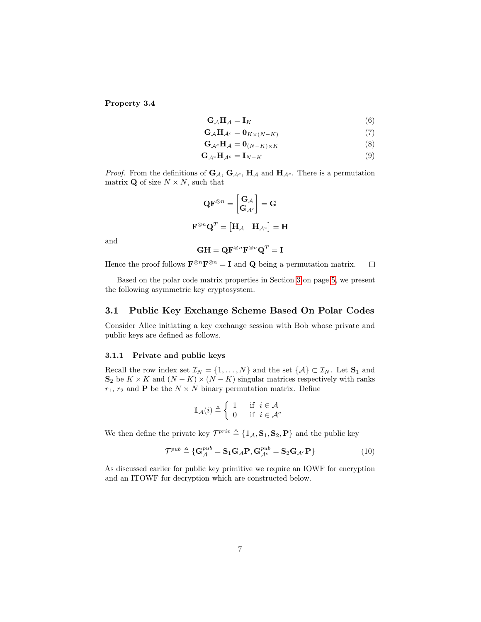Property 3.4

<span id="page-6-0"></span>
$$
\mathbf{G}_{\mathcal{A}}\mathbf{H}_{\mathcal{A}} = \mathbf{I}_{K} \tag{6}
$$

$$
G_{\mathcal{A}}H_{\mathcal{A}^c} = 0_{K \times (N-K)} \tag{7}
$$

$$
\mathbf{G}_{\mathcal{A}^c}\mathbf{H}_{\mathcal{A}} = \mathbf{0}_{(N-K)\times K} \tag{8}
$$

$$
\mathbf{G}_{\mathcal{A}^c}\mathbf{H}_{\mathcal{A}^c} = \mathbf{I}_{N-K} \tag{9}
$$

*Proof.* From the definitions of  $G_A$ ,  $G_{A^c}$ ,  $H_A$  and  $H_{A^c}$ . There is a permutation matrix **Q** of size  $N \times N$ , such that

$$
\mathbf{Q}\mathbf{F}^{\otimes n} = \begin{bmatrix} \mathbf{G}_{\mathcal{A}} \\ \mathbf{G}_{\mathcal{A}^c} \end{bmatrix} = \mathbf{G}
$$

$$
\mathbf{F}^{\otimes n} \mathbf{Q}^T = \begin{bmatrix} \mathbf{H}_{\mathcal{A}} & \mathbf{H}_{\mathcal{A}^c} \end{bmatrix} = \mathbf{H}
$$

and

$$
\mathbf{G}\mathbf{H} = \mathbf{Q}\mathbf{F}^{\otimes n}\mathbf{F}^{\otimes n}\mathbf{Q}^T = \mathbf{I}
$$

Hence the proof follows  $\mathbf{F}^{\otimes n}\mathbf{F}^{\otimes n} = \mathbf{I}$  and  $\mathbf{Q}$  being a permutation matrix.  $\Box$ 

Based on the polar code matrix properties in Section [3](#page-4-0) on page [5,](#page-4-0) we present the following asymmetric key cryptosystem.

# 3.1 Public Key Exchange Scheme Based On Polar Codes

Consider Alice initiating a key exchange session with Bob whose private and public keys are defined as follows.

#### 3.1.1 Private and public keys

Recall the row index set  $\mathcal{I}_N = \{1, \ldots, N\}$  and the set  $\{\mathcal{A}\} \subset \mathcal{I}_N$ . Let  $S_1$  and  $S_2$  be  $K \times K$  and  $(N - K) \times (N - K)$  singular matrices respectively with ranks  $r_1$ ,  $r_2$  and **P** be the  $N \times N$  binary permutation matrix. Define

$$
\mathbb{1}_{\mathcal{A}}(i) \triangleq \begin{cases} 1 & \text{if } i \in \mathcal{A} \\ 0 & \text{if } i \in \mathcal{A}^c \end{cases}
$$

We then define the private key  $\mathcal{T}^{priv} \triangleq {\mathbb{1}_A, \mathbf{S}_1, \mathbf{S}_2, \mathbf{P}}$  and the public key

$$
\mathcal{T}^{pub} \triangleq \left\{ \mathbf{G}_{\mathcal{A}}^{pub} = \mathbf{S}_1 \mathbf{G}_{\mathcal{A}} \mathbf{P}, \mathbf{G}_{\mathcal{A}^c}^{pub} = \mathbf{S}_2 \mathbf{G}_{\mathcal{A}^c} \mathbf{P} \right\}
$$
(10)

As discussed earlier for public key primitive we require an IOWF for encryption and an ITOWF for decryption which are constructed below.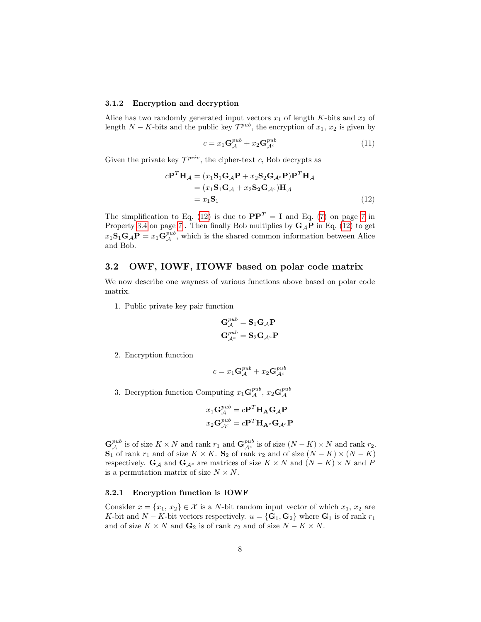#### 3.1.2 Encryption and decryption

Alice has two randomly generated input vectors  $x_1$  of length K-bits and  $x_2$  of length  $N - K$ -bits and the public key  $\mathcal{T}^{pub}$ , the encryption of  $x_1, x_2$  is given by

<span id="page-7-1"></span><span id="page-7-0"></span>
$$
c = x_1 \mathbf{G}_{\mathcal{A}}^{pub} + x_2 \mathbf{G}_{\mathcal{A}^c}^{pub}
$$
 (11)

Given the private key  $\mathcal{T}^{priv}$ , the cipher-text c, Bob decrypts as

$$
c\mathbf{P}^T \mathbf{H}_{\mathcal{A}} = (x_1 \mathbf{S}_1 \mathbf{G}_{\mathcal{A}} \mathbf{P} + x_2 \mathbf{S}_2 \mathbf{G}_{\mathcal{A}^c} \mathbf{P}) \mathbf{P}^T \mathbf{H}_{\mathcal{A}}
$$
  
=  $(x_1 \mathbf{S}_1 \mathbf{G}_{\mathcal{A}} + x_2 \mathbf{S}_2 \mathbf{G}_{\mathcal{A}^c}) \mathbf{H}_{\mathcal{A}}$   
=  $x_1 \mathbf{S}_1$  (12)

The simplification to Eq. [\(12\)](#page-7-0) is due to  $\mathbf{PP}^T = \mathbf{I}$  and Eq. [\(7\)](#page-6-0) on page [7](#page-6-0) in Property [3.4](#page-5-4) on page [7](#page-5-4). Then finally Bob multiplies by  $G_A P$  in Eq. [\(12\)](#page-7-0) to get  $x_1\mathbf{S}_1\mathbf{G}_A\mathbf{P} = x_1\mathbf{G}_{\mathcal{A}}^{pub}$ , which is the shared common information between Alice and Bob.

# 3.2 OWF, IOWF, ITOWF based on polar code matrix

We now describe one wayness of various functions above based on polar code matrix.

1. Public private key pair function

$$
\begin{aligned} \mathbf{G}_{\mathcal{A}}^{pub} &= \mathbf{S}_1 \mathbf{G}_{\mathcal{A}} \mathbf{P} \\ \mathbf{G}_{\mathcal{A}^c}^{pub} &= \mathbf{S}_2 \mathbf{G}_{\mathcal{A}^c} \mathbf{P} \end{aligned}
$$

2. Encryption function

$$
c = x_1 \mathbf{G}_{\mathcal{A}}^{pub} + x_2 \mathbf{G}_{\mathcal{A}^c}^{pub}
$$

3. Decryption function Computing  $x_1 \mathbf{G}_{\mathcal{A}}^{pub}$ ,  $x_2 \mathbf{G}_{\mathcal{A}}^{pub}$ 

$$
x_1 \mathbf{G}_{\mathcal{A}}^{pub} = c \mathbf{P}^T \mathbf{H}_{\mathbf{A}} \mathbf{G}_{\mathcal{A}} \mathbf{P}
$$

$$
x_2 \mathbf{G}_{\mathcal{A}^c}^{pub} = c \mathbf{P}^T \mathbf{H}_{\mathbf{A}^c} \mathbf{G}_{\mathcal{A}^c} \mathbf{P}
$$

 $\mathbf{G}_{\mathcal{A}}^{pub}$  is of size  $K \times N$  and rank  $r_1$  and  $\mathbf{G}_{\mathcal{A}^c}^{pub}$  is of size  $(N - K) \times N$  and rank  $r_2$ .  $\mathbf{S}_1$  of rank  $r_1$  and of size  $K \times K$ .  $\mathbf{S}_2$  of rank  $r_2$  and of size  $(N - K) \times (N - K)$ respectively.  $\mathbf{G}_{\mathcal{A}}$  and  $\mathbf{G}_{\mathcal{A}^c}$  are matrices of size  $K \times N$  and  $(N - K) \times N$  and P is a permutation matrix of size  $N \times N$ .

#### 3.2.1 Encryption function is IOWF

Consider  $x = \{x_1, x_2\} \in \mathcal{X}$  is a N-bit random input vector of which  $x_1, x_2$  are K-bit and  $N - K$ -bit vectors respectively.  $u = {\mathbf{G}_1, \mathbf{G}_2}$  where  $\mathbf{G}_1$  is of rank  $r_1$ and of size  $K \times N$  and  $\mathbf{G}_2$  is of rank  $r_2$  and of size  $N - K \times N$ .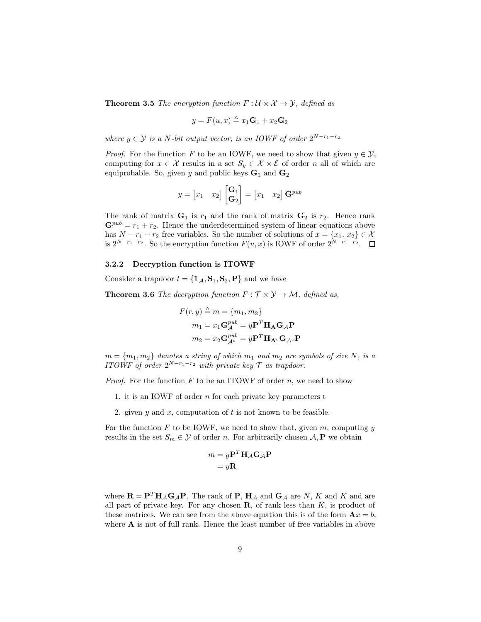**Theorem 3.5** The encryption function  $F: \mathcal{U} \times \mathcal{X} \rightarrow \mathcal{Y}$ , defined as

$$
y = F(u, x) \triangleq x_1 \mathbf{G}_1 + x_2 \mathbf{G}_2
$$

where  $y \in \mathcal{Y}$  is a N-bit output vector, is an IOWF of order  $2^{N-r_1-r_2}$ 

*Proof.* For the function F to be an IOWF, we need to show that given  $y \in \mathcal{Y}$ , computing for  $x \in \mathcal{X}$  results in a set  $S_y \in \mathcal{X} \times \mathcal{E}$  of order n all of which are equiprobable. So, given y and public keys  $G_1$  and  $G_2$ 

$$
y = \begin{bmatrix} x_1 & x_2 \end{bmatrix} \begin{bmatrix} \mathbf{G}_1 \\ \mathbf{G}_2 \end{bmatrix} = \begin{bmatrix} x_1 & x_2 \end{bmatrix} \mathbf{G}^{pub}
$$

The rank of matrix  $G_1$  is  $r_1$  and the rank of matrix  $G_2$  is  $r_2$ . Hence rank  $\mathbf{G}^{pub} = r_1 + r_2$ . Hence the underdetermined system of linear equations above has  $N - r_1 - r_2$  free variables. So the number of solutions of  $x = \{x_1, x_2\} \in \mathcal{X}$ is  $2^{N-r_1-r_2}$ . So the encryption function  $F(u, x)$  is IOWF of order  $2^{N-r_1-r_2}$ .

### 3.2.2 Decryption function is ITOWF

Consider a trapdoor  $t = \{1, 1, S_1, S_2, P\}$  and we have

**Theorem 3.6** The decryption function  $F : \mathcal{T} \times \mathcal{Y} \rightarrow \mathcal{M}$ , defined as,

$$
F(r, y) \triangleq m = \{m_1, m_2\}
$$
  
\n
$$
m_1 = x_1 \mathbf{G}_{\mathcal{A}}^{pub} = y \mathbf{P}^T \mathbf{H}_{\mathbf{A}} \mathbf{G}_{\mathcal{A}} \mathbf{P}
$$
  
\n
$$
m_2 = x_2 \mathbf{G}_{\mathcal{A}^c}^{pub} = y \mathbf{P}^T \mathbf{H}_{\mathbf{A}^c} \mathbf{G}_{\mathcal{A}^c} \mathbf{P}
$$

 $m = \{m_1, m_2\}$  denotes a string of which  $m_1$  and  $m_2$  are symbols of size N, is a ITOWF of order  $2^{N-r_1-r_2}$  with private key  $\mathcal T$  as trapdoor.

*Proof.* For the function  $F$  to be an ITOWF of order  $n$ , we need to show

- 1. it is an IOWF of order  $n$  for each private key parameters  $t$
- 2. given y and x, computation of t is not known to be feasible.

For the function  $F$  to be IOWF, we need to show that, given  $m$ , computing  $y$ results in the set  $S_m \in \mathcal{Y}$  of order n. For arbitrarily chosen  $\mathcal{A}, \mathbf{P}$  we obtain

$$
m = y\mathbf{P}^T \mathbf{H}_{\mathcal{A}} \mathbf{G}_{\mathcal{A}} \mathbf{P}
$$

$$
= y\mathbf{R}
$$

where  $\mathbf{R} = \mathbf{P}^T \mathbf{H}_{\mathcal{A}} \mathbf{G}_{\mathcal{A}} \mathbf{P}$ . The rank of **P**,  $\mathbf{H}_{\mathcal{A}}$  and  $\mathbf{G}_{\mathcal{A}}$  are N, K and K and are all part of private key. For any chosen  $\mathbf R$ , of rank less than  $K$ , is product of these matrices. We can see from the above equation this is of the form  $\mathbf{A}x = b$ , where **A** is not of full rank. Hence the least number of free variables in above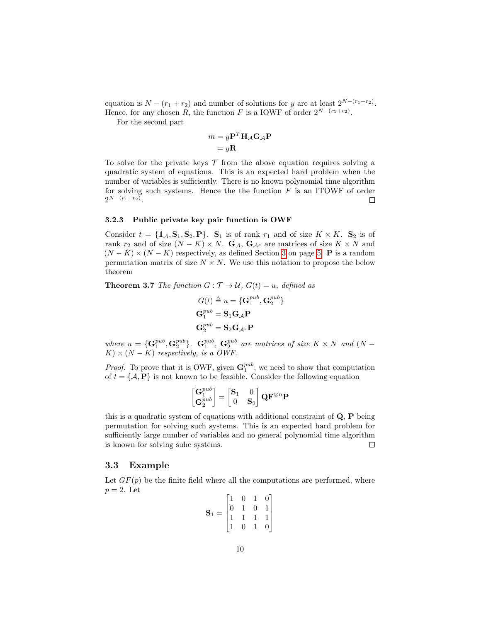equation is  $N - (r_1 + r_2)$  and number of solutions for y are at least  $2^{N-(r_1+r_2)}$ . Hence, for any chosen R, the function F is a IOWF of order  $2^{N-(r_1+r_2)}$ .

For the second part

$$
m = y\mathbf{P}^T \mathbf{H}_{\mathcal{A}} \mathbf{G}_{\mathcal{A}} \mathbf{P}
$$

$$
= y\mathbf{R}
$$

To solve for the private keys  $\mathcal T$  from the above equation requires solving a quadratic system of equations. This is an expected hard problem when the number of variables is sufficiently. There is no known polynomial time algorithm for solving such systems. Hence the the function  $F$  is an ITOWF of order  $2^{N-(r_1+r_2)}$ .  $\Box$ 

### 3.2.3 Public private key pair function is OWF

Consider  $t = {\mathbf{1}_{\mathcal{A}}, \mathbf{S}_1, \mathbf{S}_2, \mathbf{P}}$ .  $\mathbf{S}_1$  is of rank  $r_1$  and of size  $K \times K$ .  $\mathbf{S}_2$  is of rank  $r_2$  and of size  $(N - K) \times N$ .  $\mathbf{G}_{\mathcal{A}}, \mathbf{G}_{\mathcal{A}^c}$  are matrices of size  $K \times N$  and  $(N - K) \times (N - K)$  respectively, as defined Section [3](#page-4-0) on page [5.](#page-4-0) **P** is a random permutation matrix of size  $N \times N$ . We use this notation to propose the below theorem

**Theorem 3.7** The function  $G: \mathcal{T} \to \mathcal{U}$ ,  $G(t) = u$ , defined as

$$
G(t) \triangleq u = \{ \mathbf{G}_1^{pub}, \mathbf{G}_2^{pub} \}
$$

$$
\mathbf{G}_1^{pub} = \mathbf{S}_1 \mathbf{G}_{\mathcal{A}} \mathbf{P}
$$

$$
\mathbf{G}_2^{pub} = \mathbf{S}_2 \mathbf{G}_{\mathcal{A}^c} \mathbf{P}
$$

where  $u = {\mathbf{G}_1^{pub}, \mathbf{G}_2^{pub}}$ .  $\mathbf{G}_1^{pub}, \mathbf{G}_2^{pub}$  are matrices of size  $K \times N$  and  $(N K \times (N - K)$  respectively, is a OWF.

*Proof.* To prove that it is OWF, given  $\mathbf{G}_1^{pub}$ , we need to show that computation of  $t = \{A, P\}$  is not known to be feasible. Consider the following equation

$$
\begin{bmatrix} \mathbf{G}_1^{pub} \\ \mathbf{G}_2^{pub} \end{bmatrix} = \begin{bmatrix} \mathbf{S}_1 & 0 \\ 0 & \mathbf{S}_2 \end{bmatrix} \mathbf{Q} \mathbf{F}^{\otimes n} \mathbf{P}
$$

this is a quadratic system of equations with additional constraint of  $Q$ ,  $P$  being permutation for solving such systems. This is an expected hard problem for sufficiently large number of variables and no general polynomial time algorithm is known for solving suhc systems.  $\Box$ 

# 3.3 Example

Let  $GF(p)$  be the finite field where all the computations are performed, where  $p = 2$ . Let

$$
\mathbf{S}_1 = \begin{bmatrix} 1 & 0 & 1 & 0 \\ 0 & 1 & 0 & 1 \\ 1 & 1 & 1 & 1 \\ 1 & 0 & 1 & 0 \end{bmatrix}
$$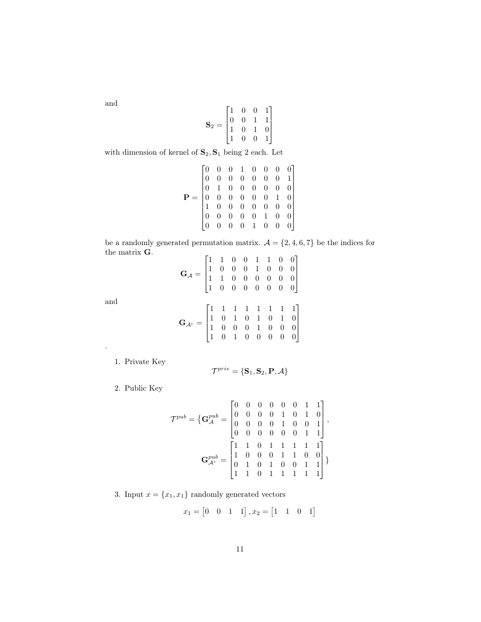and

and

.

$$
\mathbf{S}_2 = \begin{bmatrix} 1 & 0 & 0 & 1 \\ 0 & 0 & 1 & 1 \\ 1 & 0 & 1 & 0 \\ 1 & 0 & 0 & 1 \end{bmatrix}
$$

with dimension of kernel of  $\mathbf{S}_2, \mathbf{S}_1$  being 2 each. Let

$$
\mathbf{P} = \begin{bmatrix} 0 & 0 & 0 & 1 & 0 & 0 & 0 & 0 \\ 0 & 0 & 0 & 0 & 0 & 0 & 0 & 1 \\ 0 & 1 & 0 & 0 & 0 & 0 & 0 & 0 \\ 0 & 0 & 0 & 0 & 0 & 0 & 1 & 0 \\ 1 & 0 & 0 & 0 & 0 & 0 & 0 & 0 \\ 0 & 0 & 0 & 0 & 0 & 1 & 0 & 0 \\ 0 & 0 & 0 & 0 & 1 & 0 & 0 & 0 \end{bmatrix}
$$

be a randomly generated permutation matrix.  $\mathcal{A}=\{2,4,6,7\}$  be the indices for the matrix G.  $\mathsf{r}$ 

$$
\mathbf{G}_{\mathcal{A}} = \begin{bmatrix} 1 & 1 & 0 & 0 & 1 & 1 & 0 & 0 \\ 1 & 0 & 0 & 0 & 1 & 0 & 0 & 0 \\ 1 & 1 & 0 & 0 & 0 & 0 & 0 & 0 \\ 1 & 0 & 0 & 0 & 0 & 0 & 0 & 0 \end{bmatrix}
$$

$$
\mathbf{G}_{\mathcal{A}^c} = \begin{bmatrix} 1 & 1 & 1 & 1 & 1 & 1 & 1 & 1 \\ 1 & 0 & 1 & 0 & 1 & 0 & 1 & 0 \\ 1 & 0 & 0 & 0 & 1 & 0 & 0 & 0 \\ 1 & 0 & 1 & 0 & 0 & 0 & 0 & 0 \end{bmatrix}
$$

1. Private Key

$$
\mathcal{T}^{priv} = \{\mathbf{S}_1, \mathbf{S}_2, \mathbf{P}, \mathcal{A}\}
$$

2. Public Key

$$
\mathcal{T}^{pub} = \left\{ \mathbf{G}_{\mathcal{A}}^{pub} = \begin{bmatrix} 0 & 0 & 0 & 0 & 0 & 0 & 1 & 1 \\ 0 & 0 & 0 & 0 & 1 & 0 & 1 & 0 \\ 0 & 0 & 0 & 0 & 1 & 0 & 0 & 1 \\ 0 & 0 & 0 & 0 & 0 & 0 & 1 & 1 \end{bmatrix}, \right.
$$

$$
\mathbf{G}_{\mathcal{A}^c}^{pub} = \begin{bmatrix} 1 & 1 & 0 & 1 & 1 & 1 & 1 & 1 \\ 1 & 0 & 0 & 0 & 1 & 1 & 0 & 0 \\ 0 & 1 & 0 & 1 & 0 & 0 & 1 & 1 \\ 1 & 1 & 0 & 1 & 1 & 1 & 1 & 1 \end{bmatrix}
$$

3. Input  $x = \{x_1, x_1\}$  randomly generated vectors

$$
x_1 = \begin{bmatrix} 0 & 0 & 1 & 1 \end{bmatrix}, x_2 = \begin{bmatrix} 1 & 1 & 0 & 1 \end{bmatrix}
$$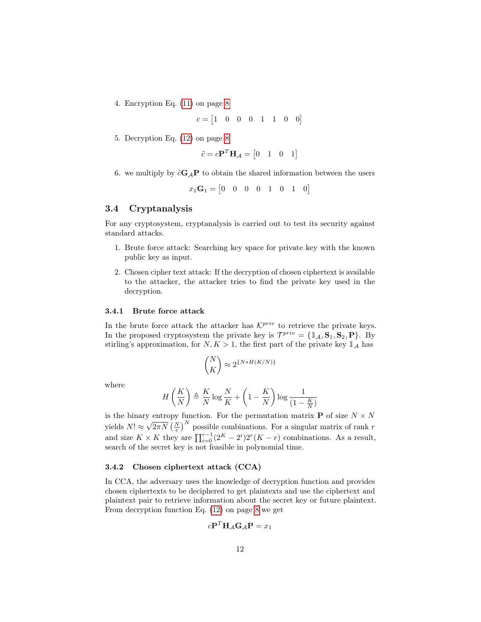4. Encryption Eq. [\(11\)](#page-7-1) on page [8](#page-7-1)

$$
c = \begin{bmatrix} 1 & 0 & 0 & 0 & 1 & 1 & 0 & 0 \end{bmatrix}
$$

5. Decryption Eq. [\(12\)](#page-7-0) on page [8](#page-7-0)

$$
\tilde{c} = c\mathbf{P}^T \mathbf{H}_{\mathcal{A}} = \begin{bmatrix} 0 & 1 & 0 & 1 \end{bmatrix}
$$

6. we multiply by  $\tilde{c}G_A P$  to obtain the shared information between the users

$$
x_1\mathbf{G}_1 = \begin{bmatrix} 0 & 0 & 0 & 0 & 1 & 0 & 1 & 0 \end{bmatrix}
$$

# 3.4 Cryptanalysis

For any cryptosystem, cryptanalysis is carried out to test its security against standard attacks.

- 1. Brute force attack: Searching key space for private key with the known public key as input.
- 2. Chosen cipher text attack: If the decryption of chosen ciphertext is available to the attacker, the attacker tries to find the private key used in the decryption.

#### 3.4.1 Brute force attack

In the brute force attack the attacker has  $\mathcal{K}^{priv}$  to retrieve the private keys. In the proposed cryptosystem the private key is  $\mathcal{T}^{priv} = {\mathbf{1}_{\mathcal{A}}}, {\mathbf{S}_1}, {\mathbf{S}_2}, {\mathbf{P}}.$  By stirling's approximation, for  $N, K > 1$ , the first part of the private key  $\mathbb{1}_A$  has

$$
\binom{N}{K} \approx 2^{\{N*H(K/N)\}}
$$

where

$$
H\left(\frac{K}{N}\right) \triangleq \frac{K}{N}\log\frac{N}{K} + \left(1 - \frac{K}{N}\right)\log\frac{1}{\left(1 - \frac{K}{N}\right)}
$$

is the binary entropy function. For the permutation matrix **P** of size  $N \times N$ yields  $N! \approx$  $\sqrt{2\pi N} \left(\frac{N}{e}\right)^N$  possible combinations. For a singular matrix of rank r and size  $K \times K$  they are  $\prod_{i=0}^{r-1} (2^K - 2^i) 2^r (K - r)$  combinations. As a result, search of the secret key is not feasible in polynomial time.

#### 3.4.2 Chosen ciphertext attack (CCA)

In CCA, the adversary uses the knowledge of decryption function and provides chosen ciphertexts to be deciphered to get plaintexts and use the ciphertext and plaintext pair to retrieve information about the secret key or future plaintext. From decryption function Eq. [\(12\)](#page-7-0) on page [8](#page-7-0) we get

$$
c\mathbf{P}^T\mathbf{H}_{\mathcal{A}}\mathbf{G}_{\mathcal{A}}\mathbf{P} = x_1
$$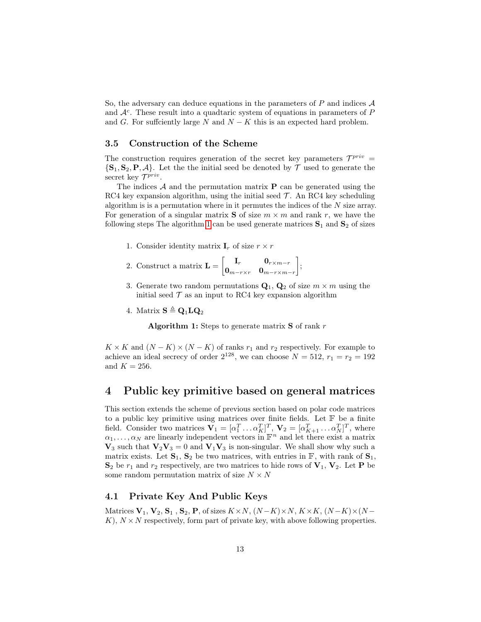So, the adversary can deduce equations in the parameters of  $P$  and indices  $\mathcal A$ and  $A<sup>c</sup>$ . These result into a quadtaric system of equations in parameters of  $P$ and G. For sufficiently large N and  $N - K$  this is an expected hard problem.

# <span id="page-12-1"></span>3.5 Construction of the Scheme

The construction requires generation of the secret key parameters  $\mathcal{T}^{priv}$  =  $\{S_1, S_2, P, A\}$ . Let the the initial seed be denoted by T used to generate the secret key  $\mathcal{T}^{priv}$ .

The indices  $A$  and the permutation matrix  $P$  can be generated using the RC4 key expansion algorithm, using the initial seed  $\mathcal{T}$ . An RC4 key scheduling algorithm is is a permutation where in it permutes the indices of the  $N$  size array. For generation of a singular matrix **S** of size  $m \times m$  and rank r, we have the following steps The algorithm [1](#page-12-0) can be used generate matrices  $S_1$  and  $S_2$  of sizes

- 1. Consider identity matrix  $\mathbf{I}_r$  of size  $r \times r$
- 2. Construct a matrix  $\mathbf{L} = \begin{bmatrix} \mathbf{I}_r & \mathbf{0}_{r \times m-r} \\ \mathbf{0} & \mathbf{0} \end{bmatrix}$  $\bm{0}_{m-r\times r}$   $\bm{0}_{m-r\times m-r}$ ;
- 3. Generate two random permutations  $\mathbf{Q}_1$ ,  $\mathbf{Q}_2$  of size  $m \times m$  using the initial seed  $\mathcal T$  as an input to RC4 key expansion algorithm
- <span id="page-12-0"></span>4. Matrix  $S \triangleq Q_1 L Q_2$

Algorithm 1: Steps to generate matrix  $S$  of rank  $r$ 

 $K \times K$  and  $(N - K) \times (N - K)$  of ranks  $r_1$  and  $r_2$  respectively. For example to achieve an ideal secrecy of order  $2^{128}$ , we can choose  $N = 512$ ,  $r_1 = r_2 = 192$ and  $K = 256$ .

# 4 Public key primitive based on general matrices

This section extends the scheme of previous section based on polar code matrices to a public key primitive using matrices over finite fields. Let  $\mathbb F$  be a finite field. Consider two matrices  $\mathbf{V}_1 = [\alpha_1^T \dots \alpha_K^T]^T$ ,  $\mathbf{V}_2 = [\alpha_{K+1}^T \dots \alpha_K^T]^T$ , where  $\alpha_1, \ldots, \alpha_N$  are linearly independent vectors in  $\mathbb{F}^n$  and let there exist a matrix  $V_3$  such that  $V_2V_3 = 0$  and  $V_1V_3$  is non-singular. We shall show why such a matrix exists. Let  $S_1$ ,  $S_2$  be two matrices, with entries in  $\mathbb{F}$ , with rank of  $S_1$ ,  $S_2$  be  $r_1$  and  $r_2$  respectively, are two matrices to hide rows of  $V_1$ ,  $V_2$ . Let P be some random permutation matrix of size  $N \times N$ 

# 4.1 Private Key And Public Keys

Matrices  $V_1$ ,  $V_2$ ,  $S_1$ ,  $S_2$ ,  $P$ , of sizes  $K \times N$ ,  $(N-K) \times N$ ,  $K \times K$ ,  $(N-K) \times (N-K)$  $K$ ,  $N \times N$  respectively, form part of private key, with above following properties.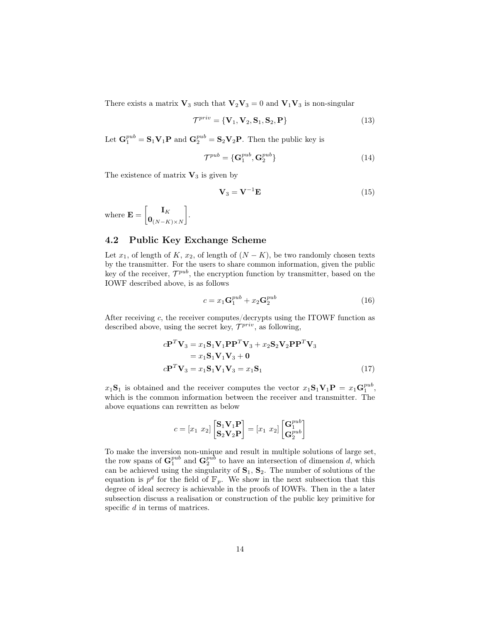There exists a matrix  $V_3$  such that  $V_2V_3 = 0$  and  $V_1V_3$  is non-singular

$$
\mathcal{T}^{priv} = \{ \mathbf{V}_1, \mathbf{V}_2, \mathbf{S}_1, \mathbf{S}_2, \mathbf{P} \}
$$
\n(13)

Let  $\mathbf{G}_1^{pub} = \mathbf{S}_1 \mathbf{V}_1 \mathbf{P}$  and  $\mathbf{G}_2^{pub} = \mathbf{S}_2 \mathbf{V}_2 \mathbf{P}$ . Then the public key is

$$
\mathcal{T}^{pub} = \{ \mathbf{G}^{pub}_1, \mathbf{G}^{pub}_2 \} \tag{14}
$$

The existence of matrix  $V_3$  is given by

<span id="page-13-2"></span>
$$
\mathbf{V}_3 = \mathbf{V}^{-1} \mathbf{E} \tag{15}
$$

where  $\mathbf{E} = \begin{bmatrix} \mathbf{I}_K \end{bmatrix}$  $\mathbf{0}_{(N-K)\times N}$ .

# 4.2 Public Key Exchange Scheme

Let  $x_1$ , of length of K,  $x_2$ , of length of  $(N - K)$ , be two randomly chosen texts by the transmitter. For the users to share common information, given the public key of the receiver,  $\mathcal{T}^{pub}$ , the encryption function by transmitter, based on the IOWF described above, is as follows

<span id="page-13-1"></span><span id="page-13-0"></span>
$$
c = x_1 \mathbf{G}_1^{pub} + x_2 \mathbf{G}_2^{pub} \tag{16}
$$

After receiving  $c$ , the receiver computes/decrypts using the ITOWF function as described above, using the secret key,  $\mathcal{T}^{priv}$ , as following,

$$
c\mathbf{P}^T \mathbf{V}_3 = x_1 \mathbf{S}_1 \mathbf{V}_1 \mathbf{P} \mathbf{P}^T \mathbf{V}_3 + x_2 \mathbf{S}_2 \mathbf{V}_2 \mathbf{P} \mathbf{P}^T \mathbf{V}_3
$$
  
=  $x_1 \mathbf{S}_1 \mathbf{V}_1 \mathbf{V}_3 + \mathbf{0}$   

$$
c\mathbf{P}^T \mathbf{V}_3 = x_1 \mathbf{S}_1 \mathbf{V}_1 \mathbf{V}_3 = x_1 \mathbf{S}_1
$$
 (17)

 $x_1\mathbf{S}_1$  is obtained and the receiver computes the vector  $x_1\mathbf{S}_1\mathbf{V}_1\mathbf{P} = x_1\mathbf{G}_1^{pub}$ , which is the common information between the receiver and transmitter. The above equations can rewritten as below

$$
c = \left[x_1 \ x_2\right] \begin{bmatrix} \mathbf{S}_1 \mathbf{V}_1 \mathbf{P} \\ \mathbf{S}_2 \mathbf{V}_2 \mathbf{P} \end{bmatrix} = \left[x_1 \ x_2\right] \begin{bmatrix} \mathbf{G}_1^{pub} \\ \mathbf{G}_2^{pub} \end{bmatrix}
$$

To make the inversion non-unique and result in multiple solutions of large set, the row spans of  $\mathbf{G}_1^{pub}$  and  $\mathbf{G}_2^{pub}$  to have an intersection of dimension d, which can be achieved using the singularity of  $S_1$ ,  $S_2$ . The number of solutions of the equation is  $p^d$  for the field of  $\mathbb{F}_p$ . We show in the next subsection that this degree of ideal secrecy is achievable in the proofs of IOWFs. Then in the a later subsection discuss a realisation or construction of the public key primitive for specific d in terms of matrices.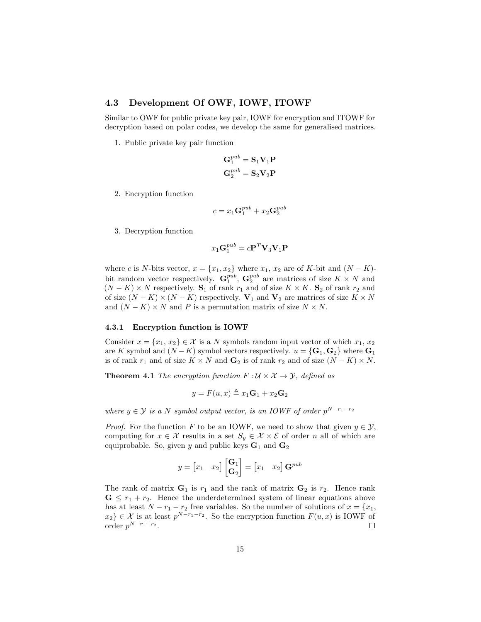# 4.3 Development Of OWF, IOWF, ITOWF

Similar to OWF for public private key pair, IOWF for encryption and ITOWF for decryption based on polar codes, we develop the same for generalised matrices.

1. Public private key pair function

$$
\begin{aligned} \mathbf{G}_1^{pub} &= \mathbf{S}_1 \mathbf{V}_1 \mathbf{P} \\ \mathbf{G}_2^{pub} &= \mathbf{S}_2 \mathbf{V}_2 \mathbf{P} \end{aligned}
$$

2. Encryption function

$$
c = x_1 \mathbf{G}_1^{pub} + x_2 \mathbf{G}_2^{pub}
$$

3. Decryption function

$$
x_1\mathbf{G}_1^{pub} = c\mathbf{P}^T\mathbf{V}_3\mathbf{V}_1\mathbf{P}
$$

where c is N-bits vector,  $x = \{x_1, x_2\}$  where  $x_1, x_2$  are of K-bit and  $(N - K)$ bit random vector respectively.  $G_1^{pub}$ ,  $G_2^{pub}$  are matrices of size  $K \times N$  and  $(N - K) \times N$  respectively. S<sub>1</sub> of rank  $r_1$  and of size  $K \times K$ . S<sub>2</sub> of rank  $r_2$  and of size  $(N - K) \times (N - K)$  respectively.  $V_1$  and  $V_2$  are matrices of size  $K \times N$ and  $(N - K) \times N$  and P is a permutation matrix of size  $N \times N$ .

#### 4.3.1 Encryption function is IOWF

Consider  $x = \{x_1, x_2\} \in \mathcal{X}$  is a N symbols random input vector of which  $x_1, x_2$ are K symbol and  $(N - K)$  symbol vectors respectively.  $u = {\bf{G}}_1, {\bf{G}}_2$  where  ${\bf{G}}_1$ is of rank  $r_1$  and of size  $K \times N$  and  $\mathbf{G}_2$  is of rank  $r_2$  and of size  $(N - K) \times N$ .

**Theorem 4.1** The encryption function  $F: \mathcal{U} \times \mathcal{X} \rightarrow \mathcal{Y}$ , defined as

$$
y = F(u, x) \triangleq x_1 \mathbf{G}_1 + x_2 \mathbf{G}_2
$$

where  $y \in \mathcal{Y}$  is a N symbol output vector, is an IOWF of order  $p^{N-r_1-r_2}$ 

*Proof.* For the function F to be an IOWF, we need to show that given  $y \in \mathcal{Y}$ , computing for  $x \in \mathcal{X}$  results in a set  $S_y \in \mathcal{X} \times \mathcal{E}$  of order n all of which are equiprobable. So, given y and public keys  $G_1$  and  $G_2$ 

$$
y = \begin{bmatrix} x_1 & x_2 \end{bmatrix} \begin{bmatrix} \mathbf{G}_1 \\ \mathbf{G}_2 \end{bmatrix} = \begin{bmatrix} x_1 & x_2 \end{bmatrix} \mathbf{G}^{pub}
$$

The rank of matrix  $G_1$  is  $r_1$  and the rank of matrix  $G_2$  is  $r_2$ . Hence rank  $\mathbf{G} \leq r_1 + r_2$ . Hence the underdetermined system of linear equations above has at least  $N - r_1 - r_2$  free variables. So the number of solutions of  $x = \{x_1,$  $x_2$ }  $\in \mathcal{X}$  is at least  $p^{N-r_1-r_2}$ . So the encryption function  $F(u, x)$  is IOWF of order  $p^{N-r_1-r_2}$ .  $\Box$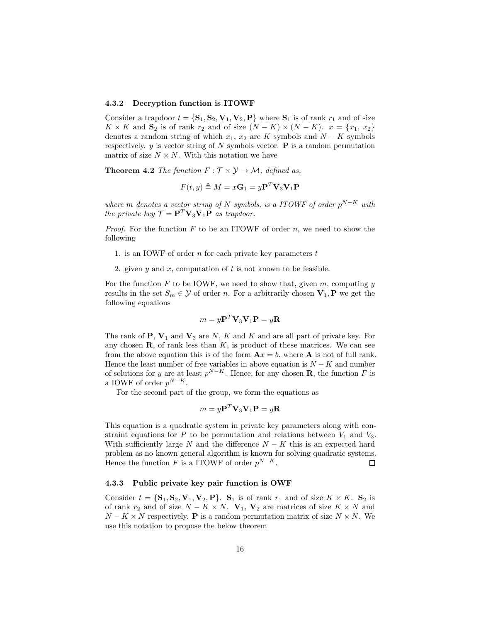#### 4.3.2 Decryption function is ITOWF

Consider a trapdoor  $t = \{S_1, S_2, V_1, V_2, P\}$  where  $S_1$  is of rank  $r_1$  and of size  $K \times K$  and  $S_2$  is of rank  $r_2$  and of size  $(N - K) \times (N - K)$ .  $x = \{x_1, x_2\}$ denotes a random string of which  $x_1, x_2$  are K symbols and  $N - K$  symbols respectively.  $y$  is vector string of N symbols vector. **P** is a random permutation matrix of size  $N \times N$ . With this notation we have

**Theorem 4.2** The function  $F : \mathcal{T} \times \mathcal{Y} \rightarrow \mathcal{M}$ , defined as,

$$
F(t, y) \triangleq M = x\mathbf{G}_1 = y\mathbf{P}^T \mathbf{V}_3 \mathbf{V}_1 \mathbf{P}
$$

where m denotes a vector string of N symbols, is a ITOWF of order  $p^{N-K}$  with the private key  $\mathcal{T} = \mathbf{P}^T \mathbf{V}_3 \mathbf{V}_1 \mathbf{P}$  as trapdoor.

*Proof.* For the function  $F$  to be an ITOWF of order  $n$ , we need to show the following

- 1. is an IOWF of order  $n$  for each private key parameters  $t$
- 2. given y and x, computation of t is not known to be feasible.

For the function F to be IOWF, we need to show that, given m, computing  $y$ results in the set  $S_m \in \mathcal{Y}$  of order n. For a arbitrarily chosen  $V_1$ , P we get the following equations

$$
m = y\mathbf{P}^T \mathbf{V}_3 \mathbf{V}_1 \mathbf{P} = y\mathbf{R}
$$

The rank of  $P$ ,  $V_1$  and  $V_3$  are N, K and K and are all part of private key. For any chosen  $\mathbf{R}$ , of rank less than  $K$ , is product of these matrices. We can see from the above equation this is of the form  $A x = b$ , where A is not of full rank. Hence the least number of free variables in above equation is  $N - K$  and number of solutions for y are at least  $p^{N-K}$ . Hence, for any chosen **R**, the function F is a IOWF of order  $p^{N-K}$ .

For the second part of the group, we form the equations as

$$
m = y\mathbf{P}^T \mathbf{V}_3 \mathbf{V}_1 \mathbf{P} = y\mathbf{R}
$$

This equation is a quadratic system in private key parameters along with constraint equations for P to be permutation and relations between  $V_1$  and  $V_3$ . With sufficiently large N and the difference  $N - K$  this is an expected hard problem as no known general algorithm is known for solving quadratic systems. Hence the function F is a ITOWF of order  $p^{N-K}$ .  $\Box$ 

#### 4.3.3 Public private key pair function is OWF

Consider  $t = {\mathbf{S}_1, \mathbf{S}_2, \mathbf{V}_1, \mathbf{V}_2, \mathbf{P}}$ .  $\mathbf{S}_1$  is of rank  $r_1$  and of size  $K \times K$ .  $\mathbf{S}_2$  is of rank  $r_2$  and of size  $N - K \times N$ .  $V_1$ ,  $V_2$  are matrices of size  $K \times N$  and  $N - K \times N$  respectively. **P** is a random permutation matrix of size  $N \times N$ . We use this notation to propose the below theorem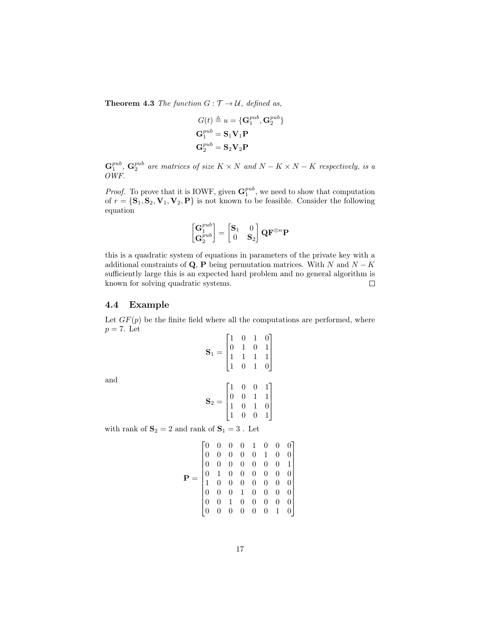**Theorem 4.3** The function  $G: \mathcal{T} \to \mathcal{U}$ , defined as,

$$
G(t) \triangleq u = {\mathbf{G}_1^{pub}, \mathbf{G}_2^{pub}} \n\mathbf{G}_1^{pub} = \mathbf{S}_1 \mathbf{V}_1 \mathbf{P} \n\mathbf{G}_2^{pub} = \mathbf{S}_2 \mathbf{V}_2 \mathbf{P}
$$

 $\mathbf{G}_1^{pub}$ ,  $\mathbf{G}_2^{pub}$  are matrices of size  $K \times N$  and  $N - K \times N - K$  respectively, is a OWF.

*Proof.* To prove that it is IOWF, given  $\mathbf{G}_1^{pub}$ , we need to show that computation of  $r = {\bf{S}_1, S_2, V_1, V_2, P}$  is not known to be feasible. Consider the following equation

$$
\begin{bmatrix} \mathbf{G}_1^{pub} \\ \mathbf{G}_2^{pub} \end{bmatrix} = \begin{bmatrix} \mathbf{S}_1 & 0 \\ 0 & \mathbf{S}_2 \end{bmatrix} \mathbf{Q} \mathbf{F}^{\otimes n} \mathbf{P}
$$

this is a quadratic system of equations in parameters of the private key with a additional constraints of Q, P being permutation matrices. With N and  $N - K$ sufficiently large this is an expected hard problem and no general algorithm is known for solving quadratic systems.  $\Box$ 

### 4.4 Example

and

Let  $GF(p)$  be the finite field where all the computations are performed, where  $p = 7$ . Let

$$
\mathbf{S}_1 = \begin{bmatrix} 1 & 0 & 1 & 0 \\ 0 & 1 & 0 & 1 \\ 1 & 1 & 1 & 1 \\ 1 & 0 & 1 & 0 \end{bmatrix}
$$

$$
\mathbf{S}_2 = \begin{bmatrix} 1 & 0 & 0 & 1 \\ 0 & 0 & 1 & 1 \\ 1 & 0 & 1 & 0 \\ 1 & 0 & 0 & 1 \end{bmatrix}
$$

with rank of  $\mathbf{S}_2=2$  and rank of  $\mathbf{S}_1=3$  . Let

$$
\mathbf{P} = \begin{bmatrix} 0 & 0 & 0 & 0 & 1 & 0 & 0 & 0 \\ 0 & 0 & 0 & 0 & 0 & 1 & 0 & 0 \\ 0 & 0 & 0 & 0 & 0 & 0 & 0 & 1 \\ 0 & 1 & 0 & 0 & 0 & 0 & 0 & 0 \\ 1 & 0 & 0 & 0 & 0 & 0 & 0 & 0 \\ 0 & 0 & 0 & 1 & 0 & 0 & 0 & 0 \\ 0 & 0 & 1 & 0 & 0 & 0 & 0 & 0 \\ 0 & 0 & 0 & 0 & 0 & 0 & 1 & 0 \end{bmatrix}
$$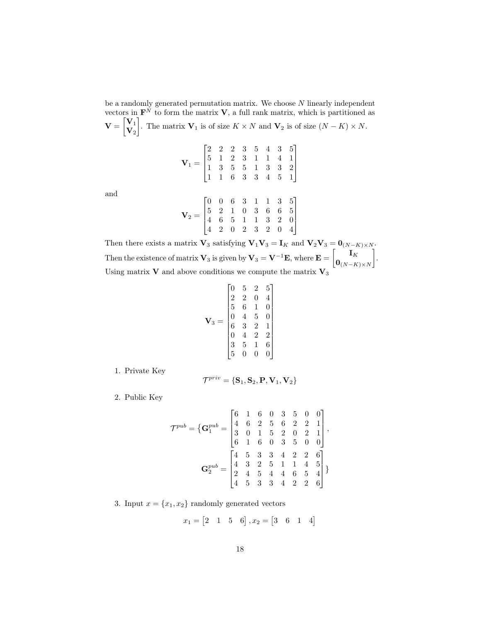be a randomly generated permutation matrix. We choose  $N$  linearly independent vectors in  $\mathbf{F}^{N}$  to form the matrix **V**, a full rank matrix, which is partitioned as  $\mathbf{V} = \begin{bmatrix} \mathbf{V}_1 \\ \mathbf{V} \end{bmatrix}$  $\mathbf{V}_2$ . The matrix  $\mathbf{V}_1$  is of size  $K \times N$  and  $\mathbf{V}_2$  is of size  $(N - K) \times N$ .

$$
\mathbf{V}_1 = \begin{bmatrix} 2 & 2 & 2 & 3 & 5 & 4 & 3 & 5 \\ 5 & 1 & 2 & 3 & 1 & 1 & 4 & 1 \\ 1 & 3 & 5 & 5 & 1 & 3 & 3 & 2 \\ 1 & 1 & 6 & 3 & 3 & 4 & 5 & 1 \end{bmatrix}
$$
  

$$
\begin{bmatrix} 0 & 0 & 6 & 3 & 1 & 1 & 3 & 5 \end{bmatrix}
$$

and

$$
\mathbf{V}_2 = \begin{bmatrix} 0 & 0 & 6 & 3 & 1 & 1 & 3 & 5 \\ 5 & 2 & 1 & 0 & 3 & 6 & 6 & 5 \\ 4 & 6 & 5 & 1 & 1 & 3 & 2 & 0 \\ 4 & 2 & 0 & 2 & 3 & 2 & 0 & 4 \end{bmatrix}
$$

 $\mathbf{I}$  $\overline{1}$  $\overline{1}$ 

Then there exists a matrix  $\mathbf{V}_3$  satisfying  $\mathbf{V}_1\mathbf{V}_3 = \mathbf{I}_K$  and  $\mathbf{V}_2\mathbf{V}_3 = \mathbf{0}_{(N-K)\times N}$ . Then the existence of matrix  $V_3$  is given by  $V_3 = V^{-1}E$ , where  $E = \begin{bmatrix} I_K \end{bmatrix}$  $\mathbf{0}_{(N-K)\times N}$  . Using matrix **V** and above conditions we compute the matrix  $V_3$ 

$$
\mathbf{V}_3 = \begin{bmatrix} 0 & 5 & 2 & 5 \\ 2 & 2 & 0 & 4 \\ 5 & 6 & 1 & 0 \\ 0 & 4 & 5 & 0 \\ 6 & 3 & 2 & 1 \\ 0 & 4 & 2 & 2 \\ 3 & 5 & 1 & 6 \\ 5 & 0 & 0 & 0 \end{bmatrix}
$$

1. Private Key

$$
\mathcal{T}^{priv} = \{\mathbf{S}_1, \mathbf{S}_2, \mathbf{P}, \mathbf{V}_1, \mathbf{V}_2\}
$$

2. Public Key

$$
\mathcal{T}^{pub} = \left\{ \mathbf{G}_1^{pub} = \begin{bmatrix} 6 & 1 & 6 & 0 & 3 & 5 & 0 & 0 \\ 4 & 6 & 2 & 5 & 6 & 2 & 2 & 1 \\ 3 & 0 & 1 & 5 & 2 & 0 & 2 & 1 \\ 6 & 1 & 6 & 0 & 3 & 5 & 0 & 0 \end{bmatrix}, \right.
$$

$$
\mathbf{G}_2^{pub} = \begin{bmatrix} 4 & 5 & 3 & 3 & 4 & 2 & 2 & 6 \\ 4 & 3 & 2 & 5 & 1 & 1 & 4 & 5 \\ 2 & 4 & 5 & 4 & 4 & 6 & 5 & 4 \\ 4 & 5 & 3 & 3 & 4 & 2 & 2 & 6 \end{bmatrix}
$$

3. Input  $x = \{x_1, x_2\}$  randomly generated vectors

$$
x_1 = \begin{bmatrix} 2 & 1 & 5 & 6 \end{bmatrix}, x_2 = \begin{bmatrix} 3 & 6 & 1 & 4 \end{bmatrix}
$$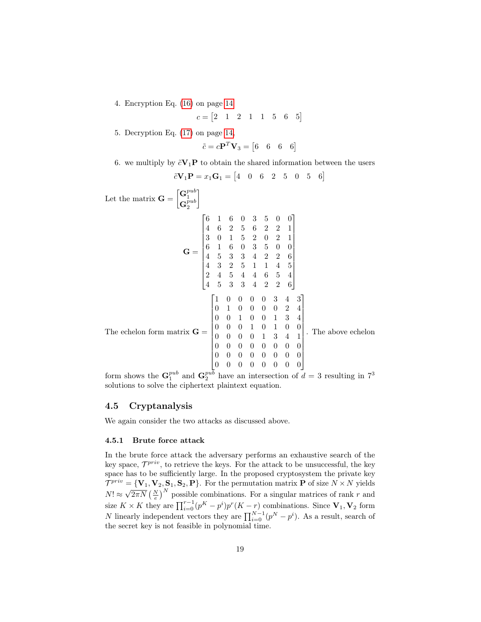4. Encryption Eq. [\(16\)](#page-13-0) on page [14](#page-13-0)

$$
c = \begin{bmatrix} 2 & 1 & 2 & 1 & 1 & 5 & 6 & 5 \end{bmatrix}
$$

5. Decryption Eq. [\(17\)](#page-13-1) on page [14,](#page-13-1)

1

$$
\tilde{c} = c\mathbf{P}^T \mathbf{V}_3 = \begin{bmatrix} 6 & 6 & 6 & 6 \end{bmatrix}
$$

6. we multiply by  $\tilde{c}V_1P$  to obtain the shared information between the users

$$
\tilde{c}V_1P = x_1G_1 = \begin{bmatrix} 4 & 0 & 6 & 2 & 5 & 0 & 5 & 6 \end{bmatrix}
$$

Let the matrix  $\mathbf{G} = \begin{bmatrix} \mathbf{G}_1^{pub} \\ \mathbf{G}_2^{pub} \end{bmatrix}$  $\mathbf{G}_{2}^{pub}$ 

$$
\mathbf{G} = \begin{bmatrix}\n6 & 1 & 6 & 0 & 3 & 5 & 0 & 0 \\
4 & 6 & 2 & 5 & 6 & 2 & 2 & 1 \\
3 & 0 & 1 & 5 & 2 & 0 & 2 & 1 \\
6 & 1 & 6 & 0 & 3 & 5 & 0 & 0 \\
4 & 5 & 3 & 3 & 4 & 2 & 2 & 6 \\
4 & 3 & 2 & 5 & 1 & 1 & 4 & 5 \\
2 & 4 & 5 & 4 & 4 & 6 & 5 & 4 \\
4 & 5 & 3 & 3 & 4 & 2 & 2 & 6\n\end{bmatrix}
$$
\nThe echelon form matrix

\n
$$
\mathbf{G} = \begin{bmatrix}\n1 & 0 & 0 & 0 & 0 & 3 & 4 & 3 \\
0 & 1 & 0 & 0 & 0 & 3 & 4 & 3 \\
0 & 0 & 0 & 1 & 0 & 0 & 1 & 3 & 4 \\
0 & 0 & 0 & 1 & 0 & 1 & 0 & 0 \\
0 & 0 & 0 & 1 & 0 & 1 & 0 & 0 \\
0 & 0 & 0 & 0 & 1 & 3 & 4 & 1 \\
0 & 0 & 0 & 0 & 0 & 0 & 0 & 0 \\
0 & 0 & 0 & 0 & 0 & 0 & 0 & 0 \\
0 & 0 & 0 & 0 & 0 & 0 & 0 & 0 \\
0 & 0 & 0 & 0 & 0 & 0 & 0 & 0\n\end{bmatrix}
$$
\nwith

\n
$$
\mathbf{G} = \begin{bmatrix}\n6 & 1 & 6 & 0 & 3 & 5 & 0 & 0 \\
6 & 1 & 6 & 0 & 3 & 5 & 0 & 0 \\
0 & 0 & 0 & 0 & 3 & 4 & 3 \\
0 & 0 & 0 & 0 & 0 & 0 & 2 & 4 \\
0 & 0 & 0 & 0 & 0 & 0 & 0 & 0 \\
0 & 0 & 0 & 0 & 0 & 0 & 0 & 0 \\
0 & 0 & 0 & 0 & 0 & 0 & 0 & 0\n\end{bmatrix}
$$

form shows the  $\mathbf{G}_1^{pub}$  and  $\mathbf{G}_2^{pub}$  have an intersection of  $d=3$  resulting in  $7^3$ solutions to solve the ciphertext plaintext equation.

# 4.5 Cryptanalysis

We again consider the two attacks as discussed above.

# 4.5.1 Brute force attack

In the brute force attack the adversary performs an exhaustive search of the key space,  $\mathcal{T}^{priv}$ , to retrieve the keys. For the attack to be unsuccessful, the key space has to be sufficiently large. In the proposed cryptosystem the private key  $\mathcal{T}^{priv} = {\bf{V}_1, V_2, S_1, S_2, P}$ . For the permutation matrix **P** of size  $N \times N$  yields  $N! \approx$  $\sqrt{2\pi N} \left(\frac{N}{e}\right)^N$  possible combinations. For a singular matrices of rank r and size  $K \times K$  they are  $\prod_{i=0}^{r-1} (p^K - p^i)p^r(K - r)$  combinations. Since  $V_1, V_2$  form N linearly independent vectors they are  $\prod_{i=0}^{N-1} (p^N - p^i)$ . As a result, search of the secret key is not feasible in polynomial time.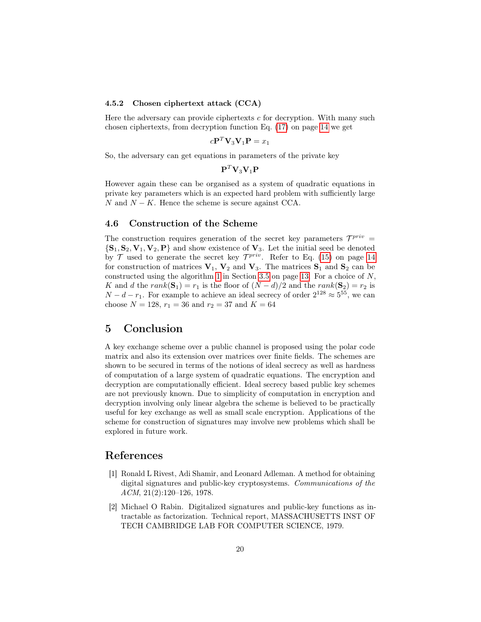#### 4.5.2 Chosen ciphertext attack (CCA)

Here the adversary can provide ciphertexts  $c$  for decryption. With many such chosen ciphertexts, from decryption function Eq. [\(17\)](#page-13-1) on page [14](#page-13-1) we get

$$
c\mathbf{P}^T\mathbf{V}_3\mathbf{V}_1\mathbf{P} = x_1
$$

So, the adversary can get equations in parameters of the private key

 ${\bf P}^T {\bf V}_3 {\bf V}_1 {\bf P}$ 

However again these can be organised as a system of quadratic equations in private key parameters which is an expected hard problem with sufficiently large N and  $N - K$ . Hence the scheme is secure against CCA.

# 4.6 Construction of the Scheme

The construction requires generation of the secret key parameters  $\mathcal{T}^{priv}$  =  ${\bf S}_1, {\bf S}_2, {\bf V}_1, {\bf V}_2, {\bf P}$  and show existence of  ${\bf V}_3$ . Let the initial seed be denoted by  $\mathcal T$  used to generate the secret key  $\mathcal T^{priv}$ . Refer to Eq. [\(15\)](#page-13-2) on page [14](#page-13-2) for construction of matrices  $V_1$ ,  $V_2$  and  $V_3$ . The matrices  $S_1$  and  $S_2$  can be constructed using the algorithm [1](#page-12-0) in Section [3.5](#page-12-1) on page [13.](#page-12-1) For a choice of N, K and d the rank( $S_1$ ) = r<sub>1</sub> is the floor of  $(N - d)/2$  and the rank( $S_2$ ) = r<sub>2</sub> is  $N - d - r_1$ . For example to achieve an ideal secrecy of order  $2^{128} \approx 5^{55}$ , we can choose  $N = 128$ ,  $r_1 = 36$  and  $r_2 = 37$  and  $K = 64$ 

# 5 Conclusion

A key exchange scheme over a public channel is proposed using the polar code matrix and also its extension over matrices over finite fields. The schemes are shown to be secured in terms of the notions of ideal secrecy as well as hardness of computation of a large system of quadratic equations. The encryption and decryption are computationally efficient. Ideal secrecy based public key schemes are not previously known. Due to simplicity of computation in encryption and decryption involving only linear algebra the scheme is believed to be practically useful for key exchange as well as small scale encryption. Applications of the scheme for construction of signatures may involve new problems which shall be explored in future work.

# References

- <span id="page-19-0"></span>[1] Ronald L Rivest, Adi Shamir, and Leonard Adleman. A method for obtaining digital signatures and public-key cryptosystems. Communications of the  $ACM$ ,  $21(2):120-126$ , 1978.
- <span id="page-19-1"></span>[2] Michael O Rabin. Digitalized signatures and public-key functions as intractable as factorization. Technical report, MASSACHUSETTS INST OF TECH CAMBRIDGE LAB FOR COMPUTER SCIENCE, 1979.